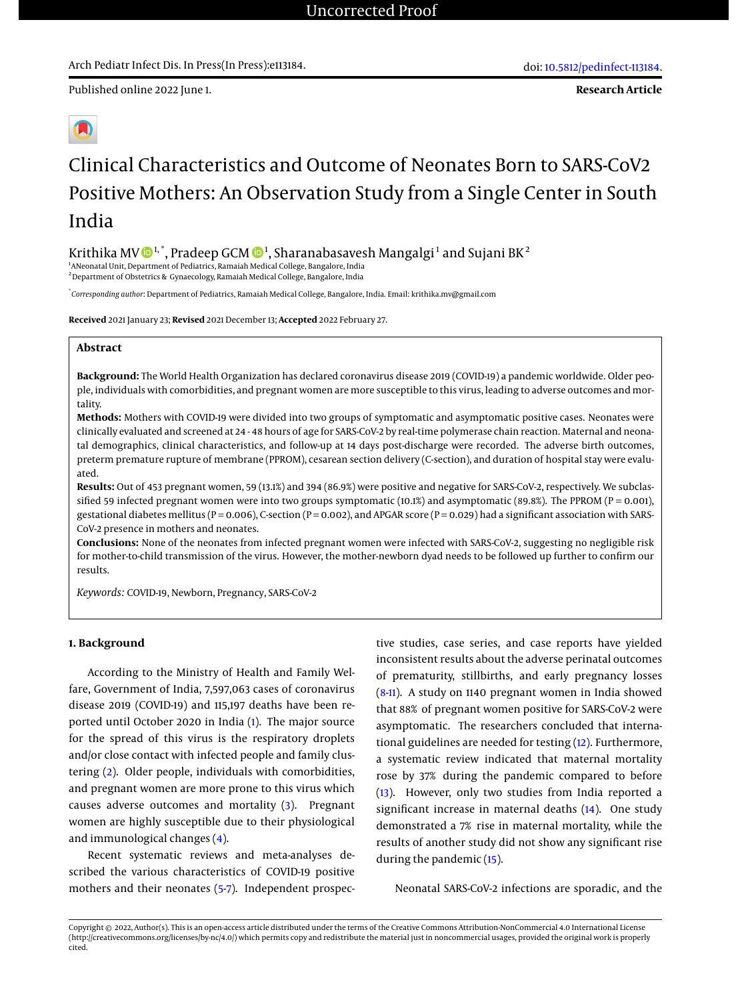Published online 2022 June 1.

# Clinical Characteristics and Outcome of Neonates Born to SARS-CoV2 Positive Mothers: An Observation Study from a Single Center in South India

Krithika MV  $\mathbf{\Phi}^{1,*}$ , Pradeep GCM  $\mathbf{\Phi}^{1}$ , Sharanabasavesh Mangalgi $^1$  and Sujani BK $^2$ 

<sup>1</sup> ANeonatal Unit, Department of Pediatrics, Ramaiah Medical College, Bangalore, India <sup>2</sup> Department of Obstetrics & Gynaecology, Ramaiah Medical College, Bangalore, India

\* *Corresponding author*: Department of Pediatrics, Ramaiah Medical College, Bangalore, India. Email: krithika.mv@gmail.com

**Received** 2021 January 23; **Revised** 2021 December 13; **Accepted** 2022 February 27.

# **Abstract**

**Background:** The World Health Organization has declared coronavirus disease 2019 (COVID-19) a pandemic worldwide. Older people, individuals with comorbidities, and pregnant women are more susceptible to this virus, leading to adverse outcomes and mortality.

**Methods:** Mothers with COVID-19 were divided into two groups of symptomatic and asymptomatic positive cases. Neonates were clinically evaluated and screened at 24 - 48 hours of age for SARS-CoV-2 by real-time polymerase chain reaction. Maternal and neonatal demographics, clinical characteristics, and follow-up at 14 days post-discharge were recorded. The adverse birth outcomes, preterm premature rupture of membrane (PPROM), cesarean section delivery (C-section), and duration of hospital stay were evaluated.

**Results:** Out of 453 pregnant women, 59 (13.1%) and 394 (86.9%) were positive and negative for SARS-CoV-2, respectively. We subclassified 59 infected pregnant women were into two groups symptomatic (10.1%) and asymptomatic (89.8%). The PPROM (P = 0.001), gestational diabetes mellitus (P = 0.006), C-section (P = 0.002), and APGAR score (P = 0.029) had a significant association with SARS-CoV-2 presence in mothers and neonates.

**Conclusions:** None of the neonates from infected pregnant women were infected with SARS-CoV-2, suggesting no negligible risk for mother-to-child transmission of the virus. However, the mother-newborn dyad needs to be followed up further to confirm our results.

*Keywords:* COVID-19, Newborn, Pregnancy, SARS-CoV-2

### **1. Background**

According to the Ministry of Health and Family Welfare, Government of India, 7,597,063 cases of coronavirus disease 2019 (COVID-19) and 115,197 deaths have been reported until October 2020 in India [\(1\)](#page-6-0). The major source for the spread of this virus is the respiratory droplets and/or close contact with infected people and family clustering [\(2\)](#page-6-1). Older people, individuals with comorbidities, and pregnant women are more prone to this virus which causes adverse outcomes and mortality [\(3\)](#page-6-2). Pregnant women are highly susceptible due to their physiological and immunological changes [\(4\)](#page-6-3).

Recent systematic reviews and meta-analyses described the various characteristics of COVID-19 positive mothers and their neonates [\(5-](#page-6-4)[7\)](#page-6-5). Independent prospective studies, case series, and case reports have yielded inconsistent results about the adverse perinatal outcomes of prematurity, stillbirths, and early pregnancy losses [\(8](#page-6-6)[-11\)](#page-6-7). A study on 1140 pregnant women in India showed that 88% of pregnant women positive for SARS-CoV-2 were asymptomatic. The researchers concluded that international guidelines are needed for testing [\(12\)](#page-6-8). Furthermore, a systematic review indicated that maternal mortality rose by 37% during the pandemic compared to before [\(13\)](#page-6-9). However, only two studies from India reported a significant increase in maternal deaths [\(14\)](#page-6-10). One study demonstrated a 7% rise in maternal mortality, while the results of another study did not show any significant rise during the pandemic [\(15\)](#page-6-11).

Neonatal SARS-CoV-2 infections are sporadic, and the

Copyright © 2022, Author(s). This is an open-access article distributed under the terms of the Creative Commons Attribution-NonCommercial 4.0 International License (http://creativecommons.org/licenses/by-nc/4.0/) which permits copy and redistribute the material just in noncommercial usages, provided the original work is properly cited.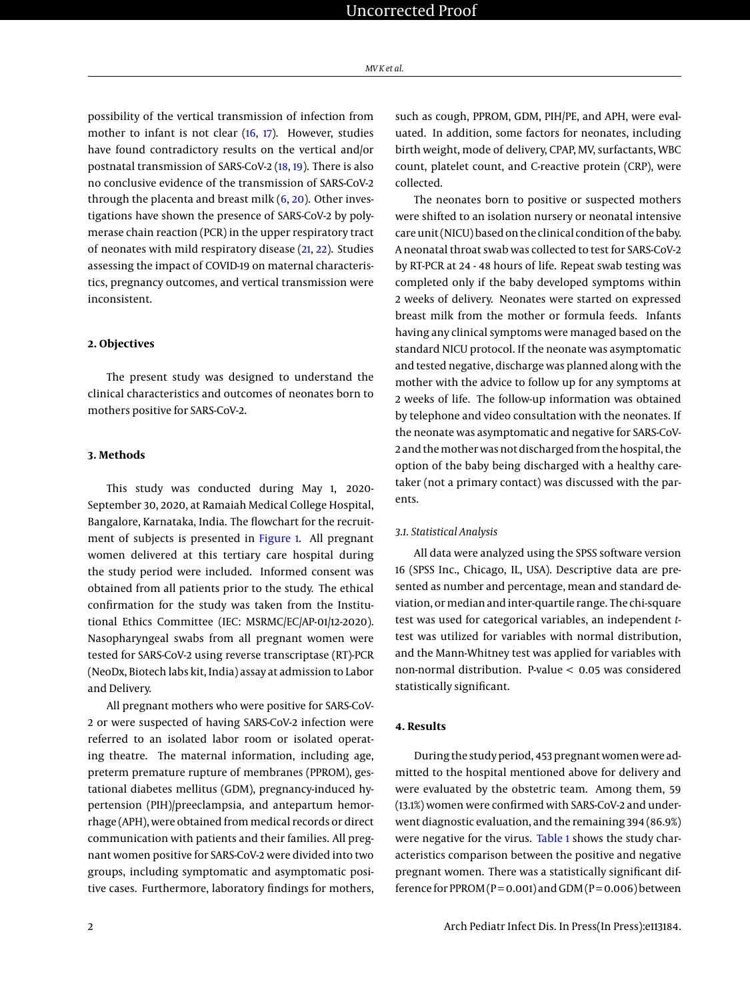possibility of the vertical transmission of infection from mother to infant is not clear [\(16,](#page-6-12) [17\)](#page-7-0). However, studies have found contradictory results on the vertical and/or postnatal transmission of SARS-CoV-2 [\(18,](#page-7-1) [19\)](#page-7-2). There is also no conclusive evidence of the transmission of SARS-CoV-2 through the placenta and breast milk  $(6, 20)$  $(6, 20)$  $(6, 20)$ . Other investigations have shown the presence of SARS-CoV-2 by polymerase chain reaction (PCR) in the upper respiratory tract of neonates with mild respiratory disease [\(21,](#page-7-4) [22\)](#page-7-5). Studies assessing the impact of COVID-19 on maternal characteristics, pregnancy outcomes, and vertical transmission were inconsistent.

# **2. Objectives**

The present study was designed to understand the clinical characteristics and outcomes of neonates born to mothers positive for SARS-CoV-2.

# **3. Methods**

This study was conducted during May 1, 2020- September 30, 2020, at Ramaiah Medical College Hospital, Bangalore, Karnataka, India. The flowchart for the recruitment of subjects is presented in [Figure 1.](#page-2-0) All pregnant women delivered at this tertiary care hospital during the study period were included. Informed consent was obtained from all patients prior to the study. The ethical confirmation for the study was taken from the Institutional Ethics Committee (IEC: MSRMC/EC/AP-01/12-2020). Nasopharyngeal swabs from all pregnant women were tested for SARS-CoV-2 using reverse transcriptase (RT)-PCR (NeoDx, Biotech labs kit, India) assay at admission to Labor and Delivery.

All pregnant mothers who were positive for SARS-CoV-2 or were suspected of having SARS-CoV-2 infection were referred to an isolated labor room or isolated operating theatre. The maternal information, including age, preterm premature rupture of membranes (PPROM), gestational diabetes mellitus (GDM), pregnancy-induced hypertension (PIH)/preeclampsia, and antepartum hemorrhage (APH), were obtained from medical records or direct communication with patients and their families. All pregnant women positive for SARS-CoV-2 were divided into two groups, including symptomatic and asymptomatic positive cases. Furthermore, laboratory findings for mothers,

such as cough, PPROM, GDM, PIH/PE, and APH, were evaluated. In addition, some factors for neonates, including birth weight, mode of delivery, CPAP, MV, surfactants, WBC count, platelet count, and C-reactive protein (CRP), were collected.

The neonates born to positive or suspected mothers were shifted to an isolation nursery or neonatal intensive care unit (NICU) based on the clinical condition of the baby. A neonatal throat swab was collected to test for SARS-CoV-2 by RT-PCR at 24 - 48 hours of life. Repeat swab testing was completed only if the baby developed symptoms within 2 weeks of delivery. Neonates were started on expressed breast milk from the mother or formula feeds. Infants having any clinical symptoms were managed based on the standard NICU protocol. If the neonate was asymptomatic and tested negative, discharge was planned along with the mother with the advice to follow up for any symptoms at 2 weeks of life. The follow-up information was obtained by telephone and video consultation with the neonates. If the neonate was asymptomatic and negative for SARS-CoV-2 and the mother was not discharged from the hospital, the option of the baby being discharged with a healthy caretaker (not a primary contact) was discussed with the parents.

#### *3.1. Statistical Analysis*

All data were analyzed using the SPSS software version 16 (SPSS Inc., Chicago, IL, USA). Descriptive data are presented as number and percentage, mean and standard deviation, or median and inter-quartile range. The chi-square test was used for categorical variables, an independent *t*test was utilized for variables with normal distribution, and the Mann-Whitney test was applied for variables with non-normal distribution. P-value < 0.05 was considered statistically significant.

# **4. Results**

During the study period, 453 pregnant women were admitted to the hospital mentioned above for delivery and were evaluated by the obstetric team. Among them, 59 (13.1%) women were confirmed with SARS-CoV-2 and underwent diagnostic evaluation, and the remaining 394 (86.9%) were negative for the virus. [Table 1](#page-3-0) shows the study characteristics comparison between the positive and negative pregnant women. There was a statistically significant difference for PPROM ( $P = 0.001$ ) and GDM ( $P = 0.006$ ) between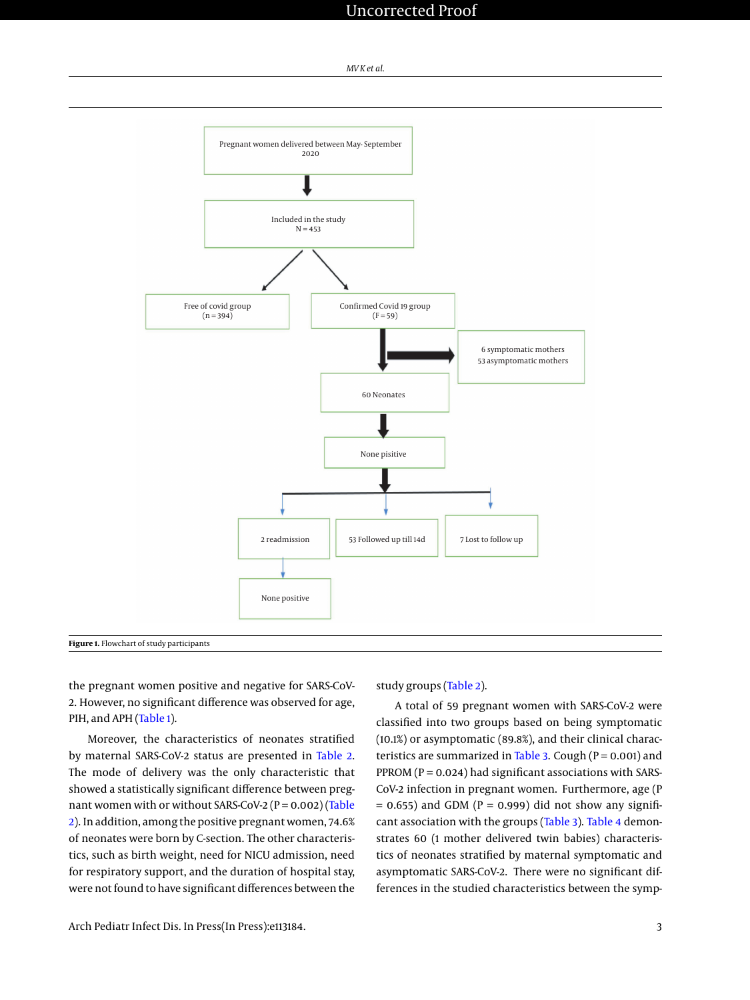# Uncorrected Proof

#### *MV K et al.*

<span id="page-2-0"></span>

the pregnant women positive and negative for SARS-CoV-2. However, no significant difference was observed for age, PIH, and APH [\(Table 1\)](#page-3-0).

Moreover, the characteristics of neonates stratified by maternal SARS-CoV-2 status are presented in [Table 2.](#page-4-0) The mode of delivery was the only characteristic that showed a statistically significant difference between pregnant women with or without SARS-CoV-2 ( $P = 0.002$ ) [\(Table](#page-4-0) [2\)](#page-4-0). In addition, among the positive pregnant women, 74.6% of neonates were born by C-section. The other characteristics, such as birth weight, need for NICU admission, need for respiratory support, and the duration of hospital stay, were not found to have significant differences between the

study groups [\(Table 2\)](#page-4-0).

A total of 59 pregnant women with SARS-CoV-2 were classified into two groups based on being symptomatic (10.1%) or asymptomatic (89.8%), and their clinical charac-teristics are summarized in [Table 3.](#page-5-0) Cough ( $P = 0.001$ ) and PPROM ( $P = 0.024$ ) had significant associations with SARS-CoV-2 infection in pregnant women. Furthermore, age (P  $= 0.655$ ) and GDM (P  $= 0.999$ ) did not show any significant association with the groups [\(Table 3\)](#page-5-0). [Table 4](#page-6-14) demonstrates 60 (1 mother delivered twin babies) characteristics of neonates stratified by maternal symptomatic and asymptomatic SARS-CoV-2. There were no significant differences in the studied characteristics between the symp-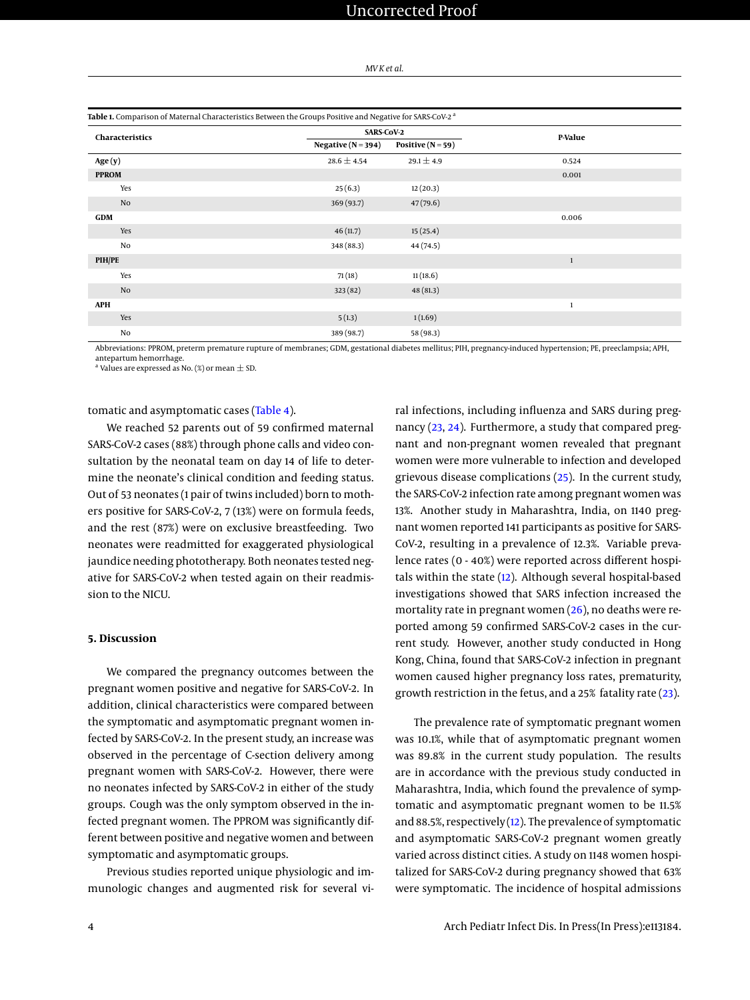| MV K et al. |  |  |  |
|-------------|--|--|--|
|-------------|--|--|--|

<span id="page-3-0"></span>

|                 | Table 1. Comparison of Maternal Characteristics Between the Groups Positive and Negative for SARS-CoV-2 <sup>a</sup> |                     |              |
|-----------------|----------------------------------------------------------------------------------------------------------------------|---------------------|--------------|
| Characteristics | <b>SARS-CoV-2</b>                                                                                                    |                     | P-Value      |
|                 | Negative ( $N = 394$ )                                                                                               | Positive $(N = 59)$ |              |
| Age(y)          | $28.6 \pm 4.54$                                                                                                      | $29.1 \pm 4.9$      | 0.524        |
| <b>PPROM</b>    |                                                                                                                      |                     | 0.001        |
| Yes             | 25(6.3)                                                                                                              | 12(20.3)            |              |
| No              | 369 (93.7)                                                                                                           | 47(79.6)            |              |
| <b>GDM</b>      |                                                                                                                      |                     | 0.006        |
| Yes             | 46(11.7)                                                                                                             | 15(25.4)            |              |
| No              | 348 (88.3)                                                                                                           | 44 (74.5)           |              |
| PIH/PE          |                                                                                                                      |                     | $\mathbf{1}$ |
| Yes             | 71(18)                                                                                                               | 11(18.6)            |              |
| No              | 323(82)                                                                                                              | 48(81.3)            |              |
| <b>APH</b>      |                                                                                                                      |                     | 1            |
| Yes             | 5(1.3)                                                                                                               | 1(1.69)             |              |
| No              | 389 (98.7)                                                                                                           | 58 (98.3)           |              |

Abbreviations: PPROM, preterm premature rupture of membranes; GDM, gestational diabetes mellitus; PIH, pregnancy-induced hypertension; PE, preeclampsia; APH, antepartum hemorrhage.

 $^{\rm a}$  Values are expressed as No. (%) or mean  $\pm$  SD.

#### tomatic and asymptomatic cases [\(Table 4\)](#page-6-14).

We reached 52 parents out of 59 confirmed maternal SARS-CoV-2 cases (88%) through phone calls and video consultation by the neonatal team on day 14 of life to determine the neonate's clinical condition and feeding status. Out of 53 neonates (1 pair of twins included) born to mothers positive for SARS-CoV-2, 7 (13%) were on formula feeds, and the rest (87%) were on exclusive breastfeeding. Two neonates were readmitted for exaggerated physiological jaundice needing phototherapy. Both neonates tested negative for SARS-CoV-2 when tested again on their readmission to the NICU.

#### **5. Discussion**

We compared the pregnancy outcomes between the pregnant women positive and negative for SARS-CoV-2. In addition, clinical characteristics were compared between the symptomatic and asymptomatic pregnant women infected by SARS-CoV-2. In the present study, an increase was observed in the percentage of C-section delivery among pregnant women with SARS-CoV-2. However, there were no neonates infected by SARS-CoV-2 in either of the study groups. Cough was the only symptom observed in the infected pregnant women. The PPROM was significantly different between positive and negative women and between symptomatic and asymptomatic groups.

Previous studies reported unique physiologic and immunologic changes and augmented risk for several vi-

The prevalence rate of symptomatic pregnant women was 10.1%, while that of asymptomatic pregnant women was 89.8% in the current study population. The results are in accordance with the previous study conducted in Maharashtra, India, which found the prevalence of symptomatic and asymptomatic pregnant women to be 11.5% and 88.5%, respectively  $(12)$ . The prevalence of symptomatic and asymptomatic SARS-CoV-2 pregnant women greatly varied across distinct cities. A study on 1148 women hospi-

ral infections, including influenza and SARS during pregnancy [\(23,](#page-7-6) [24\)](#page-7-7). Furthermore, a study that compared pregnant and non-pregnant women revealed that pregnant women were more vulnerable to infection and developed grievous disease complications [\(25\)](#page-7-8). In the current study, the SARS-CoV-2 infection rate among pregnant women was 13%. Another study in Maharashtra, India, on 1140 pregnant women reported 141 participants as positive for SARS-CoV-2, resulting in a prevalence of 12.3%. Variable prevalence rates (0 - 40%) were reported across different hospitals within the state [\(12\)](#page-6-8). Although several hospital-based investigations showed that SARS infection increased the mortality rate in pregnant women [\(26\)](#page-7-9), no deaths were reported among 59 confirmed SARS-CoV-2 cases in the current study. However, another study conducted in Hong Kong, China, found that SARS-CoV-2 infection in pregnant women caused higher pregnancy loss rates, prematurity, growth restriction in the fetus, and a 25% fatality rate [\(23\)](#page-7-6).

talized for SARS-CoV-2 during pregnancy showed that 63% were symptomatic. The incidence of hospital admissions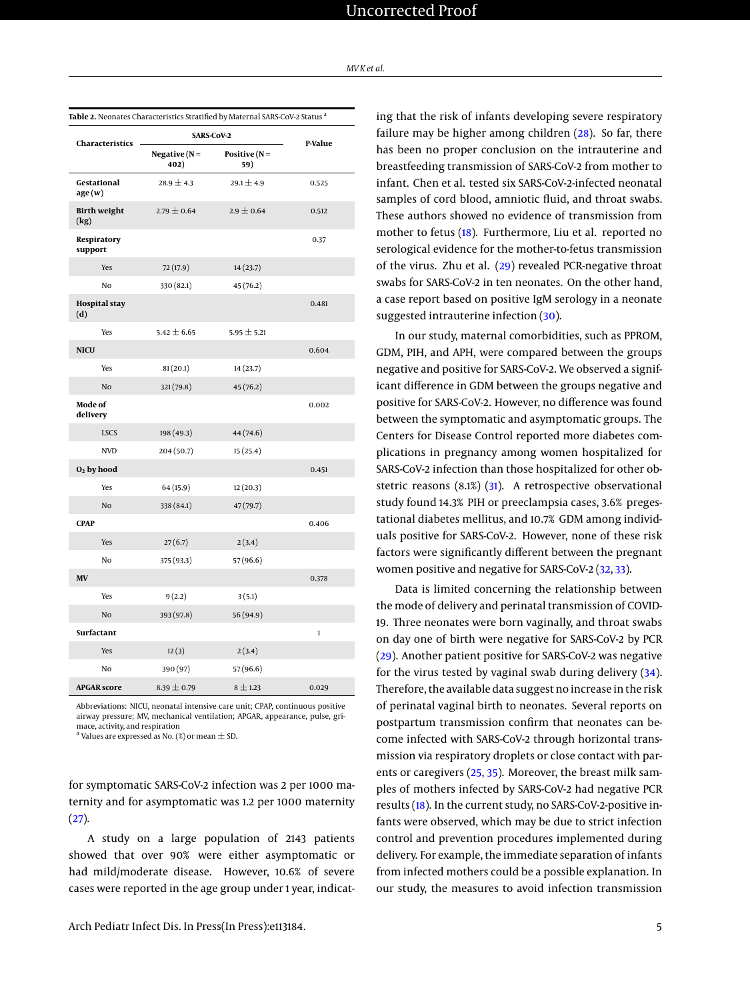| MV K et al. |
|-------------|
|-------------|

<span id="page-4-0"></span>

|                             | Table 2. Neonates Characteristics Stratified by Maternal SARS-CoV-2 Status <sup>a</sup> |                        |              |
|-----------------------------|-----------------------------------------------------------------------------------------|------------------------|--------------|
| Characteristics             |                                                                                         | <b>SARS-CoV-2</b>      |              |
|                             | Negative $(N =$<br>402)                                                                 | Positive $(N =$<br>59) | P-Value      |
| Gestational<br>age(w)       | $28.9 \pm 4.3$                                                                          | $29.1 \pm 4.9$         | 0.525        |
| <b>Birth weight</b><br>(kg) | $2.79 \pm 0.64$                                                                         | $2.9 \pm 0.64$         | 0.512        |
| Respiratory<br>support      |                                                                                         |                        | 0.37         |
| Yes                         | 72(17.9)                                                                                | 14(23.7)               |              |
| No                          | 330 (82.1)                                                                              | 45 (76.2)              |              |
| <b>Hospital</b> stay<br>(d) |                                                                                         |                        | 0.481        |
| Yes                         | $5.42 \pm 6.65$                                                                         | $5.95 \pm 5.21$        |              |
| <b>NICU</b>                 |                                                                                         |                        | 0.604        |
| Yes                         | 81(20.1)                                                                                | 14(23.7)               |              |
| No                          | 321 (79.8)                                                                              | 45(76.2)               |              |
| Mode of<br>delivery         |                                                                                         |                        | 0.002        |
| <b>LSCS</b>                 | 198 (49.3)                                                                              | 44 (74.6)              |              |
| <b>NVD</b>                  | 204(50.7)                                                                               | 15(25.4)               |              |
| $O2$ by hood                |                                                                                         |                        | 0.451        |
| Yes                         | 64(15.9)                                                                                | 12(20.3)               |              |
| N <sub>o</sub>              | 338 (84.1)                                                                              | 47(79.7)               |              |
| <b>CPAP</b>                 |                                                                                         |                        | 0.406        |
| Yes                         | 27(6.7)                                                                                 | 2(3.4)                 |              |
| No                          | 375 (93.3)                                                                              | 57 (96.6)              |              |
| MV                          |                                                                                         |                        | 0.378        |
| Yes                         | 9(2.2)                                                                                  | 3(5.1)                 |              |
| N <sub>o</sub>              | 393 (97.8)                                                                              | 56 (94.9)              |              |
| Surfactant                  |                                                                                         |                        | $\mathbf{1}$ |
| Yes                         | 12(3)                                                                                   | 2(3.4)                 |              |
| No                          | 390 (97)                                                                                | 57 (96.6)              |              |
| <b>APGAR score</b>          | $8.39 \pm 0.79$                                                                         | $8 \pm 1.23$           | 0.029        |

Abbreviations: NICU, neonatal intensive care unit; CPAP, continuous positive airway pressure; MV, mechanical ventilation; APGAR, appearance, pulse, grimace, activity, and respiration

 $^{\rm a}$  Values are expressed as No. (%) or mean  $\pm$  SD.

for symptomatic SARS-CoV-2 infection was 2 per 1000 maternity and for asymptomatic was 1.2 per 1000 maternity  $(27)$ .

A study on a large population of 2143 patients showed that over 90% were either asymptomatic or had mild/moderate disease. However, 10.6% of severe cases were reported in the age group under 1 year, indicat-

ing that the risk of infants developing severe respiratory failure may be higher among children [\(28\)](#page-7-11). So far, there has been no proper conclusion on the intrauterine and breastfeeding transmission of SARS-CoV-2 from mother to infant. Chen et al. tested six SARS-CoV-2-infected neonatal samples of cord blood, amniotic fluid, and throat swabs. These authors showed no evidence of transmission from mother to fetus [\(18\)](#page-7-1). Furthermore, Liu et al. reported no serological evidence for the mother-to-fetus transmission of the virus. Zhu et al. [\(29\)](#page-7-12) revealed PCR-negative throat swabs for SARS-CoV-2 in ten neonates. On the other hand, a case report based on positive IgM serology in a neonate suggested intrauterine infection [\(30\)](#page-7-13).

In our study, maternal comorbidities, such as PPROM, GDM, PIH, and APH, were compared between the groups negative and positive for SARS-CoV-2. We observed a significant difference in GDM between the groups negative and positive for SARS-CoV-2. However, no difference was found between the symptomatic and asymptomatic groups. The Centers for Disease Control reported more diabetes complications in pregnancy among women hospitalized for SARS-CoV-2 infection than those hospitalized for other obstetric reasons (8.1%) [\(31\)](#page-7-14). A retrospective observational study found 14.3% PIH or preeclampsia cases, 3.6% pregestational diabetes mellitus, and 10.7% GDM among individuals positive for SARS-CoV-2. However, none of these risk factors were significantly different between the pregnant women positive and negative for SARS-CoV-2 [\(32,](#page-7-15) [33\)](#page-7-16).

Data is limited concerning the relationship between the mode of delivery and perinatal transmission of COVID-19. Three neonates were born vaginally, and throat swabs on day one of birth were negative for SARS-CoV-2 by PCR [\(29\)](#page-7-12). Another patient positive for SARS-CoV-2 was negative for the virus tested by vaginal swab during delivery  $(34)$ . Therefore, the available data suggest no increase in the risk of perinatal vaginal birth to neonates. Several reports on postpartum transmission confirm that neonates can become infected with SARS-CoV-2 through horizontal transmission via respiratory droplets or close contact with parents or caregivers [\(25,](#page-7-8) [35\)](#page-7-18). Moreover, the breast milk samples of mothers infected by SARS-CoV-2 had negative PCR results [\(18\)](#page-7-1). In the current study, no SARS-CoV-2-positive infants were observed, which may be due to strict infection control and prevention procedures implemented during delivery. For example, the immediate separation of infants from infected mothers could be a possible explanation. In our study, the measures to avoid infection transmission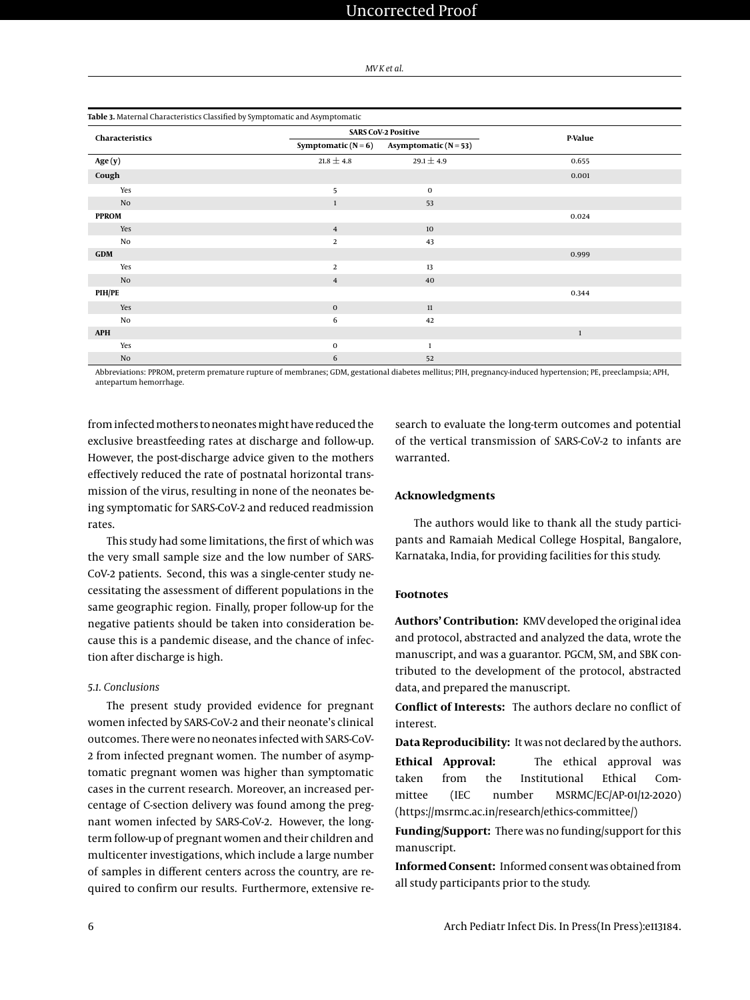| MV K et al. |  |  |
|-------------|--|--|
|-------------|--|--|

# <span id="page-5-0"></span>**Table 3.** Maternal Characteristics Classified by Symptomatic and Asymptomatic

| Characteristics |                     | <b>SARS CoV-2 Positive</b> |         |
|-----------------|---------------------|----------------------------|---------|
|                 | Symptomatic $(N=6)$ | Asymptomatic $(N=53)$      | P-Value |
| Age(y)          | $21.8 \pm 4.8$      | $29.1 \pm 4.9$             | 0.655   |
| Cough           |                     |                            | 0.001   |
| Yes             | 5                   | 0                          |         |
| No              | $\mathbf{1}$        | 53                         |         |
| <b>PPROM</b>    |                     |                            | 0.024   |
| Yes             | $\overline{4}$      | 10                         |         |
| No              | 2                   | 43                         |         |
| <b>GDM</b>      |                     |                            | 0.999   |
| Yes             | 2                   | 13                         |         |
| No              | $\overline{4}$      | 40                         |         |
| PIH/PE          |                     |                            | 0.344   |
| Yes             | $\mathbf 0$         | $11\,$                     |         |
| No              | 6                   | 42                         |         |
| <b>APH</b>      |                     |                            | $1\,$   |
| Yes             | $\mathbf 0$         | 1                          |         |
| $\rm No$        | 6                   | 52                         |         |

Abbreviations: PPROM, preterm premature rupture of membranes; GDM, gestational diabetes mellitus; PIH, pregnancy-induced hypertension; PE, preeclampsia; APH, antepartum hemorrhage.

from infected mothers to neonates might have reduced the exclusive breastfeeding rates at discharge and follow-up. However, the post-discharge advice given to the mothers effectively reduced the rate of postnatal horizontal transmission of the virus, resulting in none of the neonates being symptomatic for SARS-CoV-2 and reduced readmission rates.

This study had some limitations, the first of which was the very small sample size and the low number of SARS-CoV-2 patients. Second, this was a single-center study necessitating the assessment of different populations in the same geographic region. Finally, proper follow-up for the negative patients should be taken into consideration because this is a pandemic disease, and the chance of infection after discharge is high.

#### *5.1. Conclusions*

The present study provided evidence for pregnant women infected by SARS-CoV-2 and their neonate's clinical outcomes. There were no neonates infected with SARS-CoV-2 from infected pregnant women. The number of asymptomatic pregnant women was higher than symptomatic cases in the current research. Moreover, an increased percentage of C-section delivery was found among the pregnant women infected by SARS-CoV-2. However, the longterm follow-up of pregnant women and their children and multicenter investigations, which include a large number of samples in different centers across the country, are required to confirm our results. Furthermore, extensive research to evaluate the long-term outcomes and potential of the vertical transmission of SARS-CoV-2 to infants are warranted.

## **Acknowledgments**

The authors would like to thank all the study participants and Ramaiah Medical College Hospital, Bangalore, Karnataka, India, for providing facilities for this study.

# **Footnotes**

**Authors' Contribution:** KMV developed the original idea and protocol, abstracted and analyzed the data, wrote the manuscript, and was a guarantor. PGCM, SM, and SBK contributed to the development of the protocol, abstracted data, and prepared the manuscript.

**Conflict of Interests:** The authors declare no conflict of interest.

**Data Reproducibility:** It was not declared by the authors.

**Ethical Approval:** The ethical approval was taken from the Institutional Ethical Committee (IEC number MSRMC/EC/AP-01/12-2020) (https://msrmc.ac.in/research/ethics-committee/)

**Funding/Support:** There was no funding/support for this manuscript.

**Informed Consent:** Informed consent was obtained from all study participants prior to the study.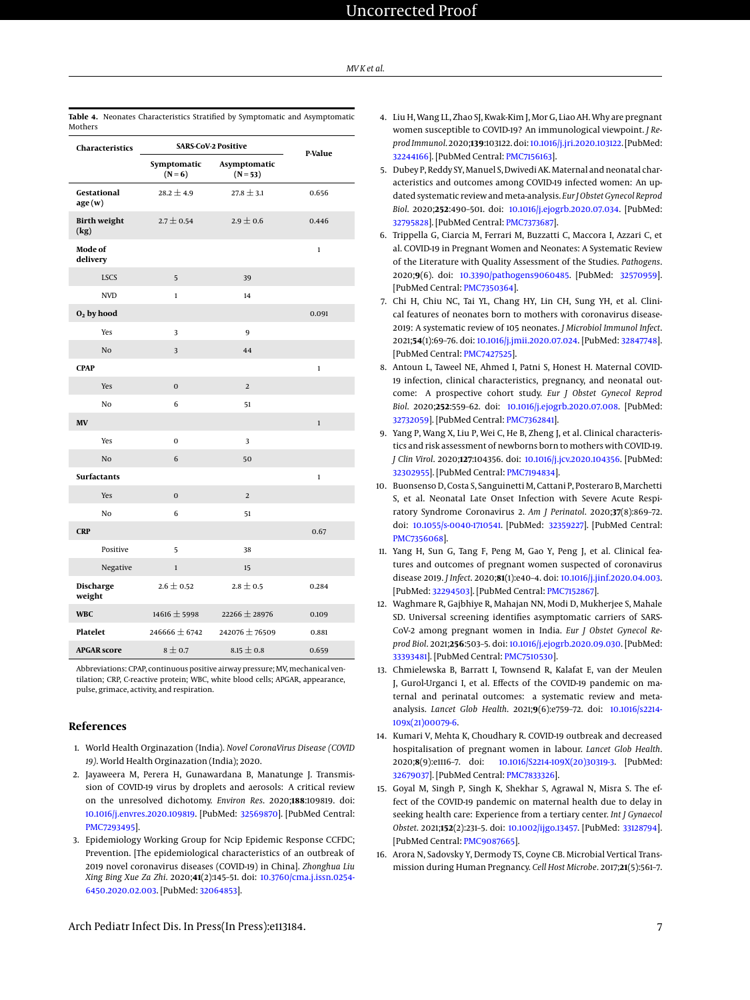#### *MV K et al.*

| Characteristics             |                          | <b>SARS-CoV-2 Positive</b> | P-Value      |
|-----------------------------|--------------------------|----------------------------|--------------|
|                             | Symptomatic<br>$(N = 6)$ | Asymptomatic<br>$(N = 53)$ |              |
| Gestational<br>age(w)       | $28.2 \pm 4.9$           | $27.8 \pm 3.1$             | 0.656        |
| <b>Birth weight</b><br>(kg) | $2.7 \pm 0.54$           | $2.9 \pm 0.6$              | 0.446        |
| Mode of<br>delivery         |                          |                            | $\mathbf{1}$ |
| <b>LSCS</b>                 | 5                        | 39                         |              |
| <b>NVD</b>                  | $\mathbf{1}$             | 14                         |              |
| $O2$ by hood                |                          |                            | 0.091        |
| Yes                         | 3                        | 9                          |              |
| No                          | 3                        | 44                         |              |
| <b>CPAP</b>                 |                          |                            | $\mathbf{1}$ |
| Yes                         | $\bf{0}$                 | $\overline{2}$             |              |
| No                          | 6                        | 51                         |              |
| MV                          |                          |                            | $\mathbf{1}$ |
| Yes                         | 0                        | 3                          |              |
| No                          | 6                        | 50                         |              |
| <b>Surfactants</b>          |                          |                            | $\mathbf 1$  |
| Yes                         | $\mathbf{0}$             | $\overline{2}$             |              |
| No                          | 6                        | 51                         |              |
| <b>CRP</b>                  |                          |                            | 0.67         |
| Positive                    | 5                        | 38                         |              |
| Negative                    | $\mathbf 1$              | 15                         |              |
| <b>Discharge</b><br>weight  | $2.6 \pm 0.52$           | $2.8 \pm 0.5$              | 0.284        |
| <b>WBC</b>                  | 14616 ± 5998             | 22266 ± 28976              | 0.109        |
| Platelet                    | 246666 $\pm$ 6742        | 242076 ± 76509             | 0.881        |
| <b>APGAR</b> score          | $8 \pm 0.7$              | $8.15 \pm 0.8$             | 0.659        |

<span id="page-6-14"></span>**Table 4.** Neonates Characteristics Stratified by Symptomatic and Asymptomatic

Abbreviations: CPAP, continuous positive airway pressure; MV, mechanical ventilation; CRP, C-reactive protein; WBC, white blood cells; APGAR, appearance, pulse, grimace, activity, and respiration.

#### **References**

- <span id="page-6-0"></span>1. World Health Orginazation (India). *Novel CoronaVirus Disease (COVID 19)*. World Health Orginazation (India); 2020.
- <span id="page-6-1"></span>2. Jayaweera M, Perera H, Gunawardana B, Manatunge J. Transmission of COVID-19 virus by droplets and aerosols: A critical review on the unresolved dichotomy. *Environ Res*. 2020;**188**:109819. doi: [10.1016/j.envres.2020.109819.](http://dx.doi.org/10.1016/j.envres.2020.109819) [PubMed: [32569870\]](http://www.ncbi.nlm.nih.gov/pubmed/32569870). [PubMed Central: [PMC7293495\]](https://www.ncbi.nlm.nih.gov/pmc/articles/PMC7293495).
- <span id="page-6-2"></span>3. Epidemiology Working Group for Ncip Epidemic Response CCFDC; Prevention. [The epidemiological characteristics of an outbreak of 2019 novel coronavirus diseases (COVID-19) in China]. *Zhonghua Liu Xing Bing Xue Za Zhi*. 2020;**41**(2):145–51. doi: [10.3760/cma.j.issn.0254-](http://dx.doi.org/10.3760/cma.j.issn.0254-6450.2020.02.003) [6450.2020.02.003.](http://dx.doi.org/10.3760/cma.j.issn.0254-6450.2020.02.003) [PubMed: [32064853\]](http://www.ncbi.nlm.nih.gov/pubmed/32064853).
- <span id="page-6-3"></span>4. Liu H, Wang LL, Zhao SJ, Kwak-Kim J, Mor G, Liao AH. Why are pregnant women susceptible to COVID-19? An immunological viewpoint. *J ReprodImmunol*. 2020;**139**:103122. doi: [10.1016/j.jri.2020.103122.](http://dx.doi.org/10.1016/j.jri.2020.103122) [PubMed: [32244166\]](http://www.ncbi.nlm.nih.gov/pubmed/32244166). [PubMed Central: [PMC7156163\]](https://www.ncbi.nlm.nih.gov/pmc/articles/PMC7156163).
- <span id="page-6-4"></span>5. Dubey P, Reddy SY, Manuel S, Dwivedi AK. Maternal and neonatal characteristics and outcomes among COVID-19 infected women: An updated systematic review and meta-analysis. *Eur J Obstet Gynecol Reprod Biol*. 2020;**252**:490–501. doi: [10.1016/j.ejogrb.2020.07.034.](http://dx.doi.org/10.1016/j.ejogrb.2020.07.034) [PubMed: [32795828\]](http://www.ncbi.nlm.nih.gov/pubmed/32795828). [PubMed Central: [PMC7373687\]](https://www.ncbi.nlm.nih.gov/pmc/articles/PMC7373687).
- <span id="page-6-13"></span>6. Trippella G, Ciarcia M, Ferrari M, Buzzatti C, Maccora I, Azzari C, et al. COVID-19 in Pregnant Women and Neonates: A Systematic Review of the Literature with Quality Assessment of the Studies. *Pathogens*. 2020;**9**(6). doi: [10.3390/pathogens9060485.](http://dx.doi.org/10.3390/pathogens9060485) [PubMed: [32570959\]](http://www.ncbi.nlm.nih.gov/pubmed/32570959). [PubMed Central: [PMC7350364\]](https://www.ncbi.nlm.nih.gov/pmc/articles/PMC7350364).
- <span id="page-6-5"></span>7. Chi H, Chiu NC, Tai YL, Chang HY, Lin CH, Sung YH, et al. Clinical features of neonates born to mothers with coronavirus disease-2019: A systematic review of 105 neonates. *J Microbiol Immunol Infect*. 2021;**54**(1):69–76. doi: [10.1016/j.jmii.2020.07.024.](http://dx.doi.org/10.1016/j.jmii.2020.07.024) [PubMed: [32847748\]](http://www.ncbi.nlm.nih.gov/pubmed/32847748). [PubMed Central: [PMC7427525\]](https://www.ncbi.nlm.nih.gov/pmc/articles/PMC7427525).
- <span id="page-6-6"></span>8. Antoun L, Taweel NE, Ahmed I, Patni S, Honest H. Maternal COVID-19 infection, clinical characteristics, pregnancy, and neonatal outcome: A prospective cohort study. *Eur J Obstet Gynecol Reprod Biol*. 2020;**252**:559–62. doi: [10.1016/j.ejogrb.2020.07.008.](http://dx.doi.org/10.1016/j.ejogrb.2020.07.008) [PubMed: [32732059\]](http://www.ncbi.nlm.nih.gov/pubmed/32732059). [PubMed Central: [PMC7362841\]](https://www.ncbi.nlm.nih.gov/pmc/articles/PMC7362841).
- 9. Yang P, Wang X, Liu P, Wei C, He B, Zheng J, et al. Clinical characteristics and risk assessment of newborns born to mothers with COVID-19. *J Clin Virol*. 2020;**127**:104356. doi: [10.1016/j.jcv.2020.104356.](http://dx.doi.org/10.1016/j.jcv.2020.104356) [PubMed: [32302955\]](http://www.ncbi.nlm.nih.gov/pubmed/32302955). [PubMed Central: [PMC7194834\]](https://www.ncbi.nlm.nih.gov/pmc/articles/PMC7194834).
- 10. Buonsenso D, Costa S, Sanguinetti M, Cattani P, Posteraro B, Marchetti S, et al. Neonatal Late Onset Infection with Severe Acute Respiratory Syndrome Coronavirus 2. *Am J Perinatol*. 2020;**37**(8):869–72. doi: [10.1055/s-0040-1710541.](http://dx.doi.org/10.1055/s-0040-1710541) [PubMed: [32359227\]](http://www.ncbi.nlm.nih.gov/pubmed/32359227). [PubMed Central: [PMC7356068\]](https://www.ncbi.nlm.nih.gov/pmc/articles/PMC7356068).
- <span id="page-6-7"></span>11. Yang H, Sun G, Tang F, Peng M, Gao Y, Peng J, et al. Clinical features and outcomes of pregnant women suspected of coronavirus disease 2019. *J Infect*. 2020;**81**(1):e40–4. doi: [10.1016/j.jinf.2020.04.003.](http://dx.doi.org/10.1016/j.jinf.2020.04.003) [PubMed: [32294503\]](http://www.ncbi.nlm.nih.gov/pubmed/32294503). [PubMed Central: [PMC7152867\]](https://www.ncbi.nlm.nih.gov/pmc/articles/PMC7152867).
- <span id="page-6-8"></span>12. Waghmare R, Gajbhiye R, Mahajan NN, Modi D, Mukherjee S, Mahale SD. Universal screening identifies asymptomatic carriers of SARS-CoV-2 among pregnant women in India. *Eur J Obstet Gynecol Reprod Biol*. 2021;**256**:503–5. doi: [10.1016/j.ejogrb.2020.09.030.](http://dx.doi.org/10.1016/j.ejogrb.2020.09.030) [PubMed: [33393481\]](http://www.ncbi.nlm.nih.gov/pubmed/33393481). [PubMed Central: [PMC7510530\]](https://www.ncbi.nlm.nih.gov/pmc/articles/PMC7510530).
- <span id="page-6-9"></span>13. Chmielewska B, Barratt I, Townsend R, Kalafat E, van der Meulen J, Gurol-Urganci I, et al. Effects of the COVID-19 pandemic on maternal and perinatal outcomes: a systematic review and metaanalysis. *Lancet Glob Health*. 2021;**9**(6):e759–72. doi: [10.1016/s2214-](http://dx.doi.org/10.1016/s2214-109x(21)00079-6) [109x\(21\)00079-6.](http://dx.doi.org/10.1016/s2214-109x(21)00079-6)
- <span id="page-6-10"></span>14. Kumari V, Mehta K, Choudhary R. COVID-19 outbreak and decreased hospitalisation of pregnant women in labour. *Lancet Glob Health*. 2020;**8**(9):e1116–7. doi: [10.1016/S2214-109X\(20\)30319-3.](http://dx.doi.org/10.1016/S2214-109X(20)30319-3) [PubMed: [32679037\]](http://www.ncbi.nlm.nih.gov/pubmed/32679037). [PubMed Central: [PMC7833326\]](https://www.ncbi.nlm.nih.gov/pmc/articles/PMC7833326).
- <span id="page-6-11"></span>15. Goyal M, Singh P, Singh K, Shekhar S, Agrawal N, Misra S. The effect of the COVID-19 pandemic on maternal health due to delay in seeking health care: Experience from a tertiary center. *Int J Gynaecol Obstet*. 2021;**152**(2):231–5. doi: [10.1002/ijgo.13457.](http://dx.doi.org/10.1002/ijgo.13457) [PubMed: [33128794\]](http://www.ncbi.nlm.nih.gov/pubmed/33128794). [PubMed Central: [PMC9087665\]](https://www.ncbi.nlm.nih.gov/pmc/articles/PMC9087665).
- <span id="page-6-12"></span>16. Arora N, Sadovsky Y, Dermody TS, Coyne CB. Microbial Vertical Transmission during Human Pregnancy. *Cell Host Microbe*. 2017;**21**(5):561–7.

Arch Pediatr Infect Dis. In Press(In Press):e113184. 7